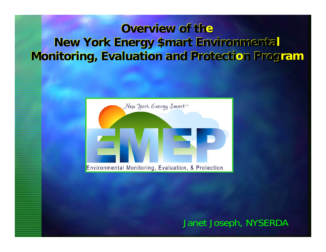# **Overview of the New York Energy \$mart Environmental Monitoring, Evaluation and Protection Program**



Janet Joseph, NYSERDA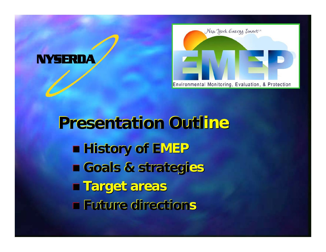



**Presentation Outline History of E History of EMEP Goals & strategies Farget areas Future directions**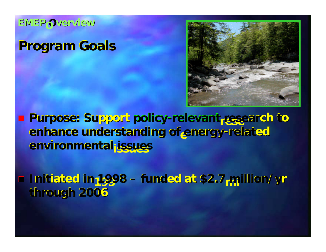**EMEPO Overview**

# **Program Goals**



**Purpose: Support policy-relevant research to enhance understanding of energy-related environmental ronmentalissues issues**

**Initiated in 1998 – funded at \$2.7 million/yr through 2006**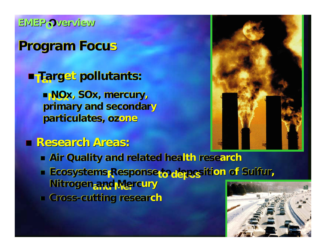**EIVIEP OVERVIEW** 

## **Program Focus**

**E Target pollutants:** 

**ENOx, SOx, mercury,** primary and secondary particulates, ozone

## **Research Areas:**



- **Air Quality and related health research**
- Ecosystems Response to deposition of Sulfur, Nitrogen and Mercury
- Cross-cutting research

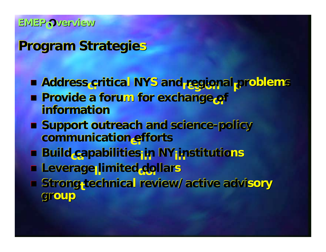#### **EIVIEP OVERVIEW**

## **Program Strategies**

- Address critical NYS and regional problems
- **Provide a forum for exchange of** information
- **E Support outreach and science-policy** communication efforts
- **Build capabilities in NY institutions**
- **E Leverage limited dollars**
- Strong-technical review/active advisory group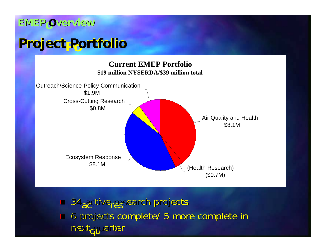#### **EMEPO Overview EMEP verview**

# **Project Portfolio**



■ 34 active<sub>r</sub> Essearch projects ■ 6 projects complete/ 5 more complete in next<sub>ofluarter</sub>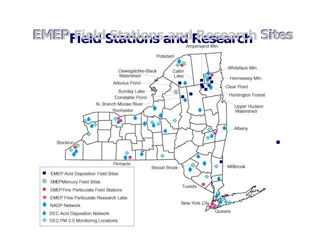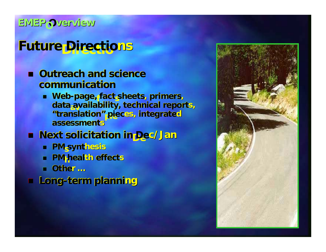#### **EMEPO Overview**

# **Future Directions**

- $\blacksquare$  **Outreach and science communi communication**
	- **Neb-page, fact sheets, primers, data availability, technical reports, "translat ranslation"pie pieces, integrated assessments**

#### **Next solicitation in Dec/Jan**

- **PM synthesis**
- **PM health effects**
- **Other …**
- **Long-term planning**

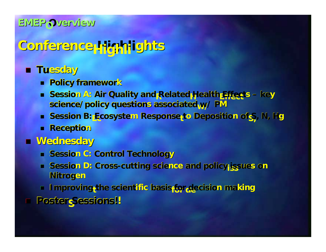#### **EMEPO Overview**

# **Conference Highlights**

### **Tuesday**

- **Policy framework**
- **Big A: Air Quality and Related Health Effects key** science/policy questions associated w/ PM
- **s** Session B: Ecosystem Response<sub>t</sub>to Deposition of S<sub>,</sub> N, Hg
- **Reception**
- **Wednesday Wednesday**
	- **Example Session C: Control Technology**
	- **Session D: Cross-cutting science and policy;issues on Nitrogen**
	- **Improving<sub>t</sub>the scientific basis for decision making**
- Г Poster Sessions!!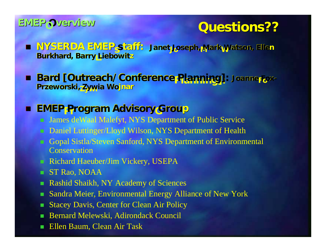# **EMEPO verview**<br> **Cuestions??**

- **Janet Joseph,MarkWatson, Ellen Burkhard, Barry Liebowitz NYSERDA EMEP taff:**
- **Bard [Outreach/Conference Planning]: Joanne Fox-**<br>Przeworski, Zywia Wojnar

### **EMEP Program Advisory Group**

- James deWaal Malefyt, NYS Department of Public Service
- Daniel Luttinger/Lloyd Wilson, NYS Department of Health
- Gopal Sistla/Steven Sanford, NYS Department of Environmental **Conservation**
- Richard Haeuber/Jim Vickery, USEPA
- ST Rao, NOAA
- m. Rashid Shaikh, NY Academy of Sciences
- ٠ Sandra Meier, Environmental Energy Alliance of New York
- Stacey Davis, Center for Clean Air Policy
- Bernard Melewski, Adirondack Council
- Ŧ Ellen Baum, Clean Air Task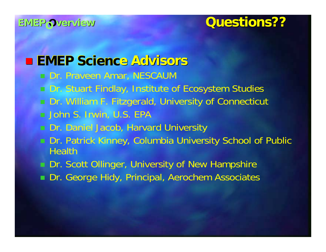# EMEPO verview Cuestions??

# **EMEP Science Advisors**

- Dr. Praveen Amar, NESCAUM
- □ Dr. Stuart Findlay, Institute of Ecosystem Studies
- Dr. William F. Fitzgerald, University of Connecticut  $\blacksquare$  John S. Irwin, U.S. EPA .
- **Dr. Daniel Jacob, Harvard University**
- Dr. Patrick Kinney, Columbia University School of Public **Health**
- **Dr. Scott Ollinger, University of New Hampshire**
- **Dr. George Hidy, Principal, Aerochem Associates**